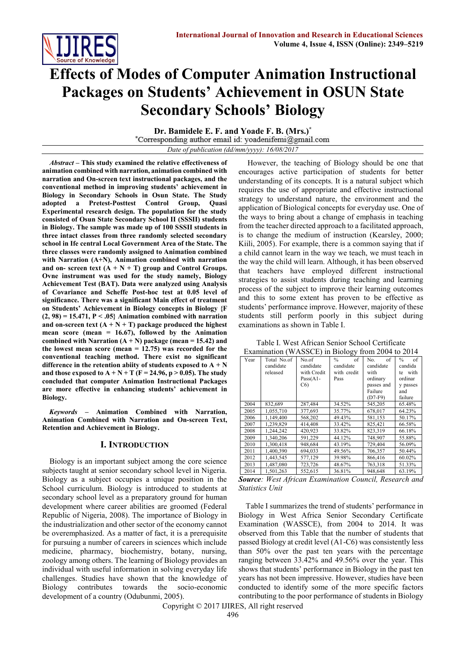

# **Effects of Modes of Computer Animation Instructional Packages on Students' Achievement in OSUN State Secondary Schools' Biology**

**Dr. Bamidele E. F. and Yoade F. B. (Mrs.)\*** \*Corresponding author email id: yoadenifemi@gmail.com *Date of publication (dd/mm/yyyy): 16/08/2017*

*Abstract* **– This study examined the relative effectiveness of animation combined with narration, animation combined with narration and On-screen text instructional packages, and the conventional method in improving students' achievement in Biology in Secondary Schools in Osun State. The Study adopted a Pretest-Posttest Control Group, Quasi Experimental research design. The population for the study consisted of Osun State Secondary School II (SSSII) students in Biology. The sample was made up of 100 SSSII students in three intact classes from three randomly selected secondary school in Ife central Local Government Area of the State. The three classes were randomly assigned to Animation combined with Narration (A+N), Animation combined with narration**  and on- screen text  $(A + N + T)$  group and Control Groups. **Ovne instrument was used for the study namely, Biology Achievement Test (BAT). Data were analyzed using Analysis of Covariance and Scheffe Post-hoc test at 0.05 level of significance. There was a significant Main effect of treatment on Students' Achievement in Biology concepts in Biology {F (2, 98) = 15.471, P < .05} Animation combined with narration**  and on-screen text  $(A + N + T)$  package produced the highest **mean score (mean = 16.67), followed by the Animation combined** with Narration  $(A + N)$  package (mean = 15.42) and **the lowest mean score (mean = 12.75) was recorded for the conventional teaching method. There exist no significant**  difference in the retention abiity of students exposed to  $A + N$ **and those exposed to**  $A + N + T$  **(F = 24.96, p > 0.05). The study concluded that computer Animation Instructional Packages are more effective in enhancing students' achievement in Biology.** 

*Keywords* **– Animation Combined with Narration, Animation Combined with Narration and On-screen Text, Retention and Achievement in Biology.**

#### **I. INTRODUCTION**

Biology is an important subject among the core science subjects taught at senior secondary school level in Nigeria. Biology as a subject occupies a unique position in the School curriculum. Biology is introduced to students at secondary school level as a preparatory ground for human development where career abilities are groomed (Federal Republic of Nigeria, 2008). The importance of Biology in the industrialization and other sector of the economy cannot be overemphasized. As a matter of fact, it is a prerequisite for pursuing a number of careers in sciences which include medicine, pharmacy, biochemistry, botany, nursing, zoology among others. The learning of Biology provides an individual with useful information in solving everyday life challenges. Studies have shown that the knowledge of Biology contributes towards the socio-economic development of a country (Odubunmi, 2005).

However, the teaching of Biology should be one that encourages active participation of students for better understanding of its concepts. It is a natural subject which requires the use of appropriate and effective instructional strategy to understand nature, the environment and the application of Biological concepts for everyday use. One of the ways to bring about a change of emphasis in teaching from the teacher directed approach to a facilitated approach, is to change the medium of instruction (Kearsley, 2000; Kiili, 2005). For example, there is a common saying that if a child cannot learn in the way we teach, we must teach in the way the child will learn. Although, it has been observed that teachers have employed different instructional strategies to assist students during teaching and learning process of the subject to improve their learning outcomes and this to some extent has proven to be effective as students' performance improve. However, majority of these students still perform poorly in this subject during examinations as shown in Table I.

Table I. West African Senior School Certificate Examination (WASSCE) in Biology from 2004 to 2014

| Year | Total No.of<br>candidate<br>released | No of<br>candidate<br>with Credit<br>$Pass(A1 -$<br>C6 | $\frac{0}{0}$<br>of<br>candidate<br>with credit<br>Pass | of<br>No.<br>candidate<br>with<br>ordinary<br>passes and<br>Failure | $\frac{0}{0}$<br>of<br>candida<br>with<br>te<br>ordinar<br>v passes<br>and |
|------|--------------------------------------|--------------------------------------------------------|---------------------------------------------------------|---------------------------------------------------------------------|----------------------------------------------------------------------------|
| 2004 | 832,689                              | 287,484                                                | 34.52%                                                  | $(D7-F9)$<br>545,205                                                | failure<br>65.48%                                                          |
| 2005 | 1.055.710                            | 377.693                                                | 35.77%                                                  | 678,017                                                             | 64.23%                                                                     |
| 2006 | 1,149,400                            | 568,202                                                | 49.43%                                                  | 581,153                                                             | 50.17%                                                                     |
| 2007 | 1.239.829                            | 414.408                                                | 33.42%                                                  | 825.421                                                             | 66.58%                                                                     |
| 2008 | 1,244,242                            | 420.923                                                | 33.82%                                                  | 823.319                                                             | 66.18%                                                                     |
| 2009 | 1.340.206                            | 591,229                                                | 44.12%                                                  | 748,907                                                             | 55.88%                                                                     |
| 2010 | 1.300.418                            | 948.684                                                | 43.19%                                                  | 729.404                                                             | 56.09%                                                                     |
| 2011 | 1,400,390                            | 694,033                                                | 49.56%                                                  | 706,357                                                             | 50.44%                                                                     |
| 2012 | 1,443,545                            | 577,129                                                | 39.98%                                                  | 866,416                                                             | 60.02%                                                                     |
| 2013 | 1,487,080                            | 723.726                                                | 48.67%                                                  | 763.318                                                             | 51.33%                                                                     |
| 2014 | 1.501.263                            | 552.615                                                | 36.81%                                                  | 948.648                                                             | 63.19%                                                                     |

*Source: West African Examination Council, Research and Statistics Unit*

Table I summarizes the trend of students' performance in Biology in West Africa Senior Secondary Certificate Examination (WASSCE), from 2004 to 2014. It was observed from this Table that the number of students that passed Biology at credit level (A1-C6) was consistently less than 50% over the past ten years with the percentage ranging between 33.42% and 49.56% over the year. This shows that students' performance in Biology in the past ten years has not been impressive. However, studies have been conducted to identify some of the more specific factors contributing to the poor performance of students in Biology

Copyright © 2017 IJIRES, All right reserved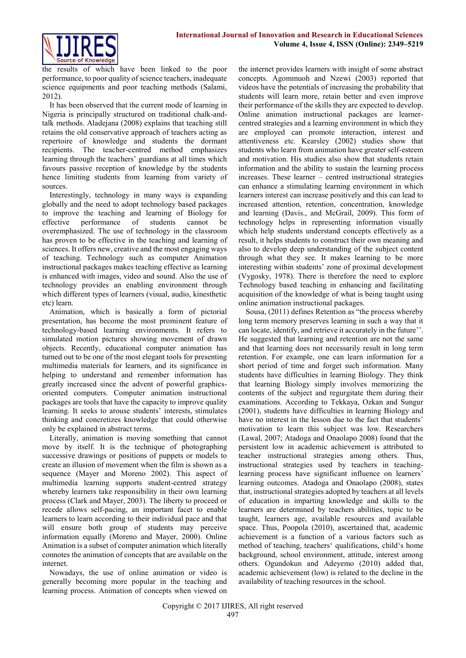

the results of which have been linked to the poor performance, to poor quality of science teachers, inadequate science equipments and poor teaching methods (Salami, 2012).

It has been observed that the current mode of learning in Nigeria is principally structured on traditional chalk-andtalk methods. Aladejana (2008) explains that teaching still retains the old conservative approach of teachers acting as repertoire of knowledge and students the dormant recipients. The teacher-centred method emphasizes learning through the teachers' guardians at all times which favours passive reception of knowledge by the students hence limiting students from learning from variety of sources.

Interestingly, technology in many ways is expanding globally and the need to adopt technology based packages to improve the teaching and learning of Biology for effective performance of students cannot be overemphasized. The use of technology in the classroom has proven to be effective in the teaching and learning of sciences. It offers new, creative and the most engaging ways of teaching. Technology such as computer Animation instructional packages makes teaching effective as learning is enhanced with images, video and sound. Also the use of technology provides an enabling environment through which different types of learners (visual, audio, kinesthetic etc) learn.

Animation, which is basically a form of pictorial presentation, has become the most prominent feature of technology-based learning environments. It refers to simulated motion pictures showing movement of drawn objects. Recently, educational computer animation has turned out to be one of the most elegant tools for presenting multimedia materials for learners, and its significance in helping to understand and remember information has greatly increased since the advent of powerful graphicsoriented computers. Computer animation instructional packages are tools that have the capacity to improve quality learning. It seeks to arouse students' interests, stimulates thinking and concretizes knowledge that could otherwise only be explained in abstract terms.

Literally, animation is moving something that cannot move by itself. It is the technique of photographing successive drawings or positions of puppets or models to create an illusion of movement when the film is shown as a sequence (Mayer and Moreno 2002). This aspect of multimedia learning supports student-centred strategy whereby learners take responsibility in their own learning process (Clark and Mayer, 2003). The liberty to proceed or recede allows self-pacing, an important facet to enable learners to learn according to their individual pace and that will ensure both group of students may perceive information equally (Moreno and Mayer, 2000). Online Animation is a subset of computer animation which literally connotes the animation of concepts that are available on the internet.

Nowadays, the use of online animation or video is generally becoming more popular in the teaching and learning process. Animation of concepts when viewed on

the internet provides learners with insight of some abstract concepts. Agommuoh and Nzewi (2003) reported that videos have the potentials of increasing the probability that students will learn more, retain better and even improve their performance of the skills they are expected to develop. Online animation instructional packages are learnercentred strategies and a learning environment in which they are employed can promote interaction, interest and attentiveness etc. Kearsley (2002) studies show that students who learn from animation have greater self-esteem and motivation. His studies also show that students retain information and the ability to sustain the learning process increases. These learner – centred instructional strategies can enhance a stimulating learning environment in which learners interest can increase positively and this can lead to increased attention, retention, concentration, knowledge and learning (Davis., and McGrail, 2009). This form of technology helps in representing information visually which help students understand concepts effectively as a result, it helps students to construct their own meaning and also to develop deep understanding of the subject content through what they see. It makes learning to be more interesting within students' zone of proximal development (Vygosky, 1978). There is therefore the need to explore Technology based teaching in enhancing and facilitating acquisition of the knowledge of what is being taught using online animation instructional packages.

Sousa, (2011) defines Retention as "the process whereby long term memory preserves learning in such a way that it can locate, identify, and retrieve it accurately in the future''. He suggested that learning and retention are not the same and that learning does not necessarily result in long term retention. For example, one can learn information for a short period of time and forget such information. Many students have difficulties in learning Biology. They think that learning Biology simply involves memorizing the contents of the subject and regurgitate them during their examinations. According to Tekkaya, Ozkan and Sungur (2001), students have difficulties in learning Biology and have no interest in the lesson due to the fact that students' motivation to learn this subject was low. Researchers (Lawal, 2007; Atadoga and Onaolapo 2008) found that the persistent low in academic achievement is attributed to teacher instructional strategies among others. Thus, instructional strategies used by teachers in teachinglearning process have significant influence on learners' learning outcomes. Atadoga and Onaolapo (2008), states that, instructional strategies adopted by teachers at all levels of education in imparting knowledge and skills to the learners are determined by teachers abilities, topic to be taught, learners age, available resources and available space. Thus, Poopola (2010), ascertained that, academic achievement is a function of a various factors such as method of teaching, teachers' qualifications, child's home background, school environment, attitude, interest among others. Ogundokun and Adeyemo (2010) added that, academic achievement (low) is related to the decline in the availability of teaching resources in the school.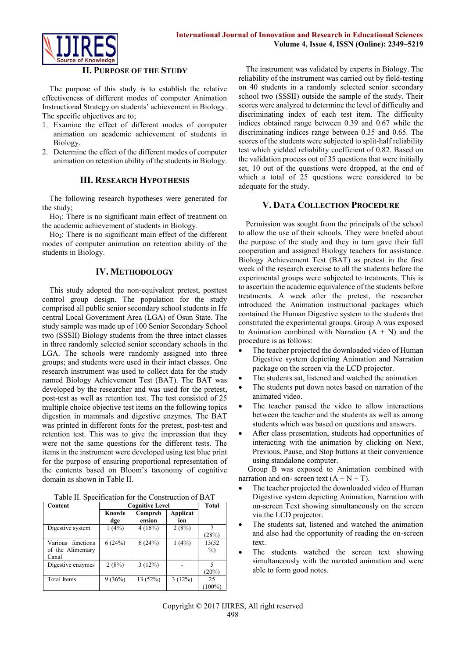

## **II. PURPOSE OF THE STUDY**

The purpose of this study is to establish the relative effectiveness of different modes of computer Animation Instructional Strategy on students' achievement in Biology. The specific objectives are to;

- 1. Examine the effect of different modes of computer animation on academic achievement of students in Biology.
- 2. Determine the effect of the different modes of computer animation on retention ability of the students in Biology.

# **III. RESEARCH HYPOTHESIS**

The following research hypotheses were generated for the study;

 $Ho<sub>1</sub>$ : There is no significant main effect of treatment on the academic achievement of students in Biology.

Ho2: There is no significant main effect of the different modes of computer animation on retention ability of the students in Biology.

# **IV. METHODOLOGY**

This study adopted the non-equivalent pretest, posttest control group design. The population for the study comprised all public senior secondary school students in Ife central Local Government Area (LGA) of Osun State. The study sample was made up of 100 Senior Secondary School two (SSSII) Biology students from the three intact classes in three randomly selected senior secondary schools in the LGA. The schools were randomly assigned into three groups; and students were used in their intact classes. One research instrument was used to collect data for the study named Biology Achievement Test (BAT). The BAT was developed by the researcher and was used for the pretest, post-test as well as retention test. The test consisted of 25 multiple choice objective test items on the following topics digestion in mammals and digestive enzymes. The BAT was printed in different fonts for the pretest, post-test and retention test. This was to give the impression that they were not the same questions for the different tests. The items in the instrument were developed using test blue print for the purpose of ensuring proportional representation of the contents based on Bloom's taxonomy of cognitive domain as shown in Table II.

| Table II. Specification for the Construction of BAT |  |
|-----------------------------------------------------|--|
|-----------------------------------------------------|--|

| Content                                            | <b>Cognitive Level</b> | Total             |                 |                 |
|----------------------------------------------------|------------------------|-------------------|-----------------|-----------------|
|                                                    | Knowle<br>dge          | Compreh<br>ension | Applicat<br>ion |                 |
| Digestive system                                   | 1(4%)                  | 4(16%)            | 2(8%)           | (28%)           |
| functions<br>Various<br>of the Alimentary<br>Canal | 6(24%)                 | 6(24%)            | 1(4%)           | 13(52<br>$\%$   |
| Digestive enzymes                                  | 2(8%)                  | 3(12%)            |                 | (20%)           |
| <b>Total Items</b>                                 | 9(36%)                 | 13(52%)           | 3(12%)          | 25<br>$(100\%)$ |

The instrument was validated by experts in Biology. The reliability of the instrument was carried out by field-testing on 40 students in a randomly selected senior secondary school two (SSSII) outside the sample of the study. Their scores were analyzed to determine the level of difficulty and discriminating index of each test item. The difficulty indices obtained range between 0.39 and 0.67 while the discriminating indices range between 0.35 and 0.65. The scores of the students were subjected to split-half reliability test which yielded reliability coefficient of 0.82. Based on the validation process out of 35 questions that were initially set, 10 out of the questions were dropped, at the end of which a total of 25 questions were considered to be adequate for the study.

# **V. DATA COLLECTION PROCEDURE**

Permission was sought from the principals of the school to allow the use of their schools. They were briefed about the purpose of the study and they in turn gave their full cooperation and assigned Biology teachers for assistance. Biology Achievement Test (BAT) as pretest in the first week of the research exercise to all the students before the experimental groups were subjected to treatments. This is to ascertain the academic equivalence of the students before treatments. A week after the pretest, the researcher introduced the Animation instructional packages which contained the Human Digestive system to the students that constituted the experimental groups. Group A was exposed to Animation combined with Narration  $(A + N)$  and the procedure is as follows:

- The teacher projected the downloaded video of Human Digestive system depicting Animation and Narration package on the screen via the LCD projector.
- The students sat, listened and watched the animation.
- The students put down notes based on narration of the animated video.
- The teacher paused the video to allow interactions between the teacher and the students as well as among students which was based on questions and answers.
- After class presentation, students had opportunities of interacting with the animation by clicking on Next, Previous, Pause, and Stop buttons at their convenience using standalone computer.

Group B was exposed to Animation combined with narration and on- screen text  $(A + N + T)$ .

- The teacher projected the downloaded video of Human Digestive system depicting Animation, Narration with on-screen Text showing simultaneously on the screen via the LCD projector.
- The students sat, listened and watched the animation and also had the opportunity of reading the on-screen text.
- The students watched the screen text showing simultaneously with the narrated animation and were able to form good notes.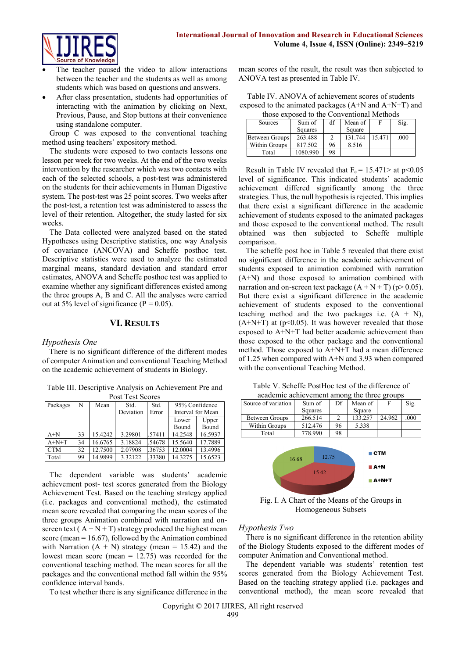

- The teacher paused the video to allow interactions between the teacher and the students as well as among students which was based on questions and answers.
- After class presentation, students had opportunities of interacting with the animation by clicking on Next, Previous, Pause, and Stop buttons at their convenience using standalone computer.

Group C was exposed to the conventional teaching method using teachers' expository method.

The students were exposed to two contacts lessons one lesson per week for two weeks. At the end of the two weeks intervention by the researcher which was two contacts with each of the selected schools, a post-test was administered on the students for their achievements in Human Digestive system. The post-test was 25 point scores. Two weeks after the post-test, a retention test was administered to assess the level of their retention. Altogether, the study lasted for six weeks.

The Data collected were analyzed based on the stated Hypotheses using Descriptive statistics, one way Analysis of covariance (ANCOVA) and Scheffe posthoc test. Descriptive statistics were used to analyze the estimated marginal means, standard deviation and standard error estimates, ANOVA and Scheffe posthoc test was applied to examine whether any significant differences existed among the three groups A, B and C. All the analyses were carried out at 5% level of significance ( $P = 0.05$ ).

# **VI. RESULTS**

#### *Hypothesis One*

There is no significant difference of the different modes of computer Animation and conventional Teaching Method on the academic achievement of students in Biology.

Table III. Descriptive Analysis on Achievement Pre and Post Test Scores

| Packages   | N  | Mean    | Std.      | Std.   | 95% Confidence    |         |  |
|------------|----|---------|-----------|--------|-------------------|---------|--|
|            |    |         | Deviation | Error  | Interval for Mean |         |  |
|            |    |         |           |        | Lower             | Upper   |  |
|            |    |         |           |        | Bound             | Bound   |  |
| $A+N$      | 33 | 15.4242 | 3.29801   | .57411 | 14.2548           | 16.5937 |  |
| $A+N+T$    | 34 | 16.6765 | 3.18824   | .54678 | 15.5640           | 17.7889 |  |
| <b>CTM</b> | 32 | 12.7500 | 2.07908   | .36753 | 12.0004           | 13.4996 |  |
| Total      | 99 | 14.9899 | 3.32122   | .33380 | 14.3275           | 15.6523 |  |

The dependent variable was students' academic achievement post- test scores generated from the Biology Achievement Test. Based on the teaching strategy applied (i.e. packages and conventional method), the estimated mean score revealed that comparing the mean scores of the three groups Animation combined with narration and onscreen text ( $A + N + T$ ) strategy produced the highest mean score (mean  $= 16.67$ ), followed by the Animation combined with Narration  $(A + N)$  strategy (mean = 15.42) and the lowest mean score (mean = 12.75) was recorded for the conventional teaching method. The mean scores for all the packages and the conventional method fall within the 95% confidence interval bands.

To test whether there is any significance difference in the

mean scores of the result, the result was then subjected to ANOVA test as presented in Table IV.

Table IV. ANOVA of achievement scores of students exposed to the animated packages (A+N and A+N+T) and those exposed to the Conventional Methods

| Sources               | Sum of   | df | Mean of |        | Sig. |
|-----------------------|----------|----|---------|--------|------|
|                       | Squares  |    | Square  |        |      |
| <b>Between Groups</b> | 263.488  |    | 131.744 | 15.471 | .000 |
| Within Groups         | 817.502  | 96 | 8.516   |        |      |
| Total                 | 1080.990 | 98 |         |        |      |

Result in Table IV revealed that  $F_c = 15.471 >$  at p<0.05 level of significance. This indicated students' academic achievement differed significantly among the three strategies. Thus, the null hypothesis is rejected. This implies that there exist a significant difference in the academic achievement of students exposed to the animated packages and those exposed to the conventional method. The result obtained was then subjected to Scheffe multiple comparison.

The scheffe post hoc in Table 5 revealed that there exist no significant difference in the academic achievement of students exposed to animation combined with narration (A+N) and those exposed to animation combined with narration and on-screen text package  $(A + N + T)(p > 0.05)$ . But there exist a significant difference in the academic achievement of students exposed to the conventional teaching method and the two packages i.e.  $(A + N)$ ,  $(A+N+T)$  at (p<0.05). It was however revealed that those exposed to A+N+T had better academic achievement than those exposed to the other package and the conventional method. Those exposed to A+N+T had a mean difference of 1.25 when compared with A+N and 3.93 when compared with the conventional Teaching Method.

| Table V. Scheffe PostHoc test of the difference of |         |  |        |  |  |  |  |
|----------------------------------------------------|---------|--|--------|--|--|--|--|
| academic achievement among the three groups        |         |  |        |  |  |  |  |
| Df Mean of<br>Source of variation<br>Sum of        |         |  |        |  |  |  |  |
|                                                    | Squares |  | Square |  |  |  |  |

Between Groups 266.514 2 133.257 24.962 .000<br>Within Groups 512.476 96 5.338

Within Groups 512.476 96



Fig. I. A Chart of the Means of the Groups in Homogeneous Subsets

#### *Hypothesis Two*

There is no significant difference in the retention ability of the Biology Students exposed to the different modes of computer Animation and Conventional method.

The dependent variable was students' retention test scores generated from the Biology Achievement Test. Based on the teaching strategy applied (i.e. packages and conventional method), the mean score revealed that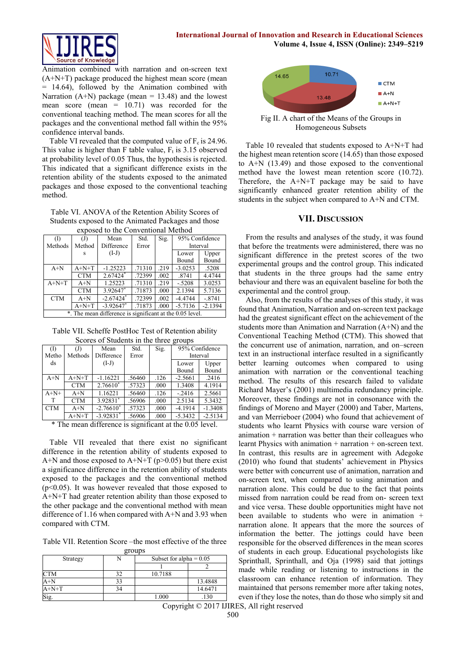

Animation combined with narration and on-screen text (A+N+T) package produced the highest mean score (mean = 14.64), followed by the Animation combined with Narration  $(A+N)$  package (mean = 13.48) and the lowest mean score (mean = 10.71) was recorded for the conventional teaching method. The mean scores for all the packages and the conventional method fall within the 95% confidence interval bands.

Table VI revealed that the computed value of  $F_c$  is 24.96. This value is higher than F table value,  $F_t$  is 3.15 observed at probability level of 0.05 Thus, the hypothesis is rejected. This indicated that a significant difference exists in the retention ability of the students exposed to the animated packages and those exposed to the conventional teaching method.

Table VI. ANOVA of the Retention Ability Scores of Students exposed to the Animated Packages and those exposed to the Conventional Method

| CADOSCU to the Conventional ivietnou |            |                                                          |        |      |                |           |
|--------------------------------------|------------|----------------------------------------------------------|--------|------|----------------|-----------|
| (I)                                  | (J)        | Mean                                                     | Std.   | Sig. | 95% Confidence |           |
| Methods                              | Method     | Difference                                               | Error  |      | Interval       |           |
|                                      | S          | $(I-J)$                                                  |        |      | Upper<br>Lower |           |
|                                      |            |                                                          |        |      | Bound          | Bound     |
| $A+N$                                | $A+N+T$    | $-1.25223$                                               | .71310 | .219 | $-3.0253$      | .5208     |
|                                      | <b>CTM</b> | $2.67424*$                                               | .72399 | .002 | .8741          | 4.4744    |
| $A+N+T$                              | $A+N$      | 1.25223                                                  | .71310 | .219 | $-.5208$       | 3.0253    |
|                                      | <b>CTM</b> | $3.92647$ *                                              | .71873 | .000 | 2.1394         | 5.7136    |
| <b>CTM</b>                           | $A+N$      | $-2.67424$ <sup>*</sup>                                  | .72399 | .002 | $-4.4744$      | $-.8741$  |
|                                      | $A+N+T$    | $-3.92647$ <sup>*</sup>                                  | .71873 | .000 | $-5.7136$      | $-2.1394$ |
|                                      |            | *. The mean difference is significant at the 0.05 level. |        |      |                |           |

Table VII. Scheffe PostHoc Test of Retention ability Scores of Students in the three groups

| $    -$    |            |                         |        |      |                |           |  |
|------------|------------|-------------------------|--------|------|----------------|-----------|--|
| (I)        | (J)        | Mean                    | Std.   | Sig. | 95% Confidence |           |  |
| Metho      | Methods    | Difference              | Error  |      | Interval       |           |  |
| ds         |            | $(I-J)$                 |        |      | Upper<br>Lower |           |  |
|            |            |                         |        |      | Bound          | Bound     |  |
| $A+N$      | $A+N+T$    | $-1.16221$              | .56460 | .126 | $-2.5661$      | .2416     |  |
|            | <b>CTM</b> | $2.76610*$              | .57323 | .000 | 1.3408         | 4.1914    |  |
| $A+N+$     | $A+N$      | 1.16221                 | .56460 | .126 | $-2416$        | 2.5661    |  |
| T          | <b>CTM</b> | 3.92831*                | .56906 | .000 | 2.5134         | 5.3432    |  |
| <b>CTM</b> | $A+N$      | $-2.76610*$             | .57323 | .000 | $-4.1914$      | $-1.3408$ |  |
|            | $A+N+T$    | $-3.92831$ <sup>*</sup> | .56906 | .000 | $-5.3432$      | $-2.5134$ |  |

\* The mean difference is significant at the 0.05 level.

Table VII revealed that there exist no significant difference in the retention ability of students exposed to A+N and those exposed to A+N+T ( $p>0.05$ ) but there exist a significance difference in the retention ability of students exposed to the packages and the conventional method  $(p<0.05)$ . It was however revealed that those exposed to A+N+T had greater retention ability than those exposed to the other package and the conventional method with mean difference of 1.16 when compared with A+N and 3.93 when compared with CTM.

Table VII. Retention Score –the most effective of the three

| groups     |    |                           |         |  |  |  |  |
|------------|----|---------------------------|---------|--|--|--|--|
| Strategy   |    | Subset for alpha $= 0.05$ |         |  |  |  |  |
|            |    |                           |         |  |  |  |  |
| <b>CTM</b> | 32 | 10.7188                   |         |  |  |  |  |
| $A+N$      | 33 |                           | 13.4848 |  |  |  |  |
| $A+N+T$    |    |                           | 14.6471 |  |  |  |  |
|            |    | 1.000                     |         |  |  |  |  |



Fig II. A chart of the Means of the Groups in Homogeneous Subsets

Table 10 revealed that students exposed to A+N+T had the highest mean retention score (14.65) than those exposed to A+N (13.49) and those exposed to the conventional method have the lowest mean retention score (10.72). Therefore, the A+N+T package may be said to have significantly enhanced greater retention ability of the students in the subject when compared to A+N and CTM.

# **VII. DISCUSSION**

From the results and analyses of the study, it was found that before the treatments were administered, there was no significant difference in the pretest scores of the two experimental groups and the control group. This indicated that students in the three groups had the same entry behaviour and there was an equivalent baseline for both the experimental and the control group.

Also, from the results of the analyses of this study, it was found that Animation, Narration and on-screen text package had the greatest significant effect on the achievement of the students more than Animation and Narration (A+N) and the Conventional Teaching Method (CTM). This showed that the concurrent use of animation, narration, and on–screen text in an instructional interface resulted in a significantly better learning outcomes when compared to using animation with narration or the conventional teaching method. The results of this research failed to validate Richard Mayer's (2001) multimedia redundancy principle. Moreover, these findings are not in consonance with the findings of Moreno and Mayer (2000) and Taber, Martens, and van Merrieboer (2004) who found that achievement of students who learnt Physics with course ware version of  $\text{amimation} + \text{narration}$  was better than their colleagues who learnt Physics with animation + narration + on-screen text. In contrast, this results are in agreement with Adegoke (2010) who found that students' achievement in Physics were better with concurrent use of animation, narration and on-screen text, when compared to using animation and narration alone. This could be due to the fact that points missed from narration could be read from on- screen text and vice versa. These double opportunities might have not been available to students who were in animation + narration alone. It appears that the more the sources of information the better. The jottings could have been responsible for the observed differences in the mean scores of students in each group. Educational psychologists like Sprinthall, Sprinthall, and Oja (1998) said that jottings made while reading or listening to instructions in the classroom can enhance retention of information. They maintained that persons remember more after taking notes, even if they lose the notes, than do those who simply sit and

Copyright © 2017 IJIRES, All right reserved